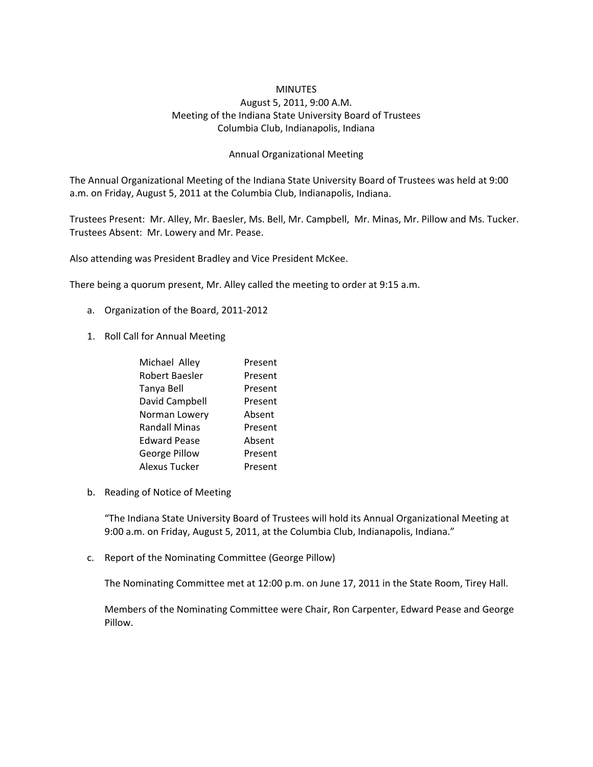## **MINUTES**

## August 5, 2011, 9:00 A.M. Meeting of the Indiana State University Board of Trustees Columbia Club, Indianapolis, Indiana

## Annual Organizational Meeting

The Annual Organizational Meeting of the Indiana State University Board of Trustees was held at 9:00 a.m. on Friday, August 5, 2011 at the Columbia Club, Indianapolis, Indiana.

Trustees Present: Mr. Alley, Mr. Baesler, Ms. Bell, Mr. Campbell, Mr. Minas, Mr. Pillow and Ms. Tucker. Trustees Absent: Mr. Lowery and Mr. Pease.

Also attending was President Bradley and Vice President McKee.

There being a quorum present, Mr. Alley called the meeting to order at 9:15 a.m.

- a. Organization of the Board, 2011‐2012
- 1. Roll Call for Annual Meeting

| Michael Alley        | Present |
|----------------------|---------|
| Robert Baesler       | Present |
| Tanya Bell           | Present |
| David Campbell       | Present |
| Norman Lowery        | Absent  |
| <b>Randall Minas</b> | Present |
| <b>Edward Pease</b>  | Absent  |
| George Pillow        | Present |
| Alexus Tucker        | Present |

b. Reading of Notice of Meeting

"The Indiana State University Board of Trustees will hold its Annual Organizational Meeting at 9:00 a.m. on Friday, August 5, 2011, at the Columbia Club, Indianapolis, Indiana."

c. Report of the Nominating Committee (George Pillow)

The Nominating Committee met at 12:00 p.m. on June 17, 2011 in the State Room, Tirey Hall.

Members of the Nominating Committee were Chair, Ron Carpenter, Edward Pease and George Pillow.